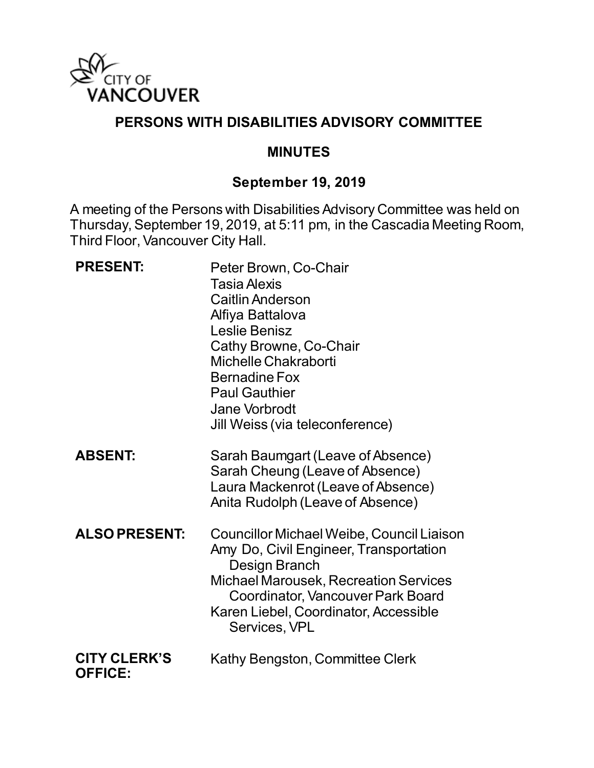

#### **PERSONS WITH DISABILITIES ADVISORY COMMITTEE**

#### **MINUTES**

#### **September 19, 2019**

A meeting of the Persons with Disabilities Advisory Committee was held on Thursday, September 19, 2019, at 5:11 pm, in the Cascadia Meeting Room, Third Floor, Vancouver City Hall.

| <b>PRESENT:</b>                       | Peter Brown, Co-Chair<br><b>Tasia Alexis</b><br><b>Caitlin Anderson</b><br>Alfiya Battalova<br>Leslie Benisz<br>Cathy Browne, Co-Chair<br>Michelle Chakraborti<br><b>Bernadine Fox</b><br><b>Paul Gauthier</b><br>Jane Vorbrodt<br>Jill Weiss (via teleconference) |
|---------------------------------------|--------------------------------------------------------------------------------------------------------------------------------------------------------------------------------------------------------------------------------------------------------------------|
| <b>ABSENT:</b>                        | Sarah Baumgart (Leave of Absence)<br>Sarah Cheung (Leave of Absence)<br>Laura Mackenrot (Leave of Absence)<br>Anita Rudolph (Leave of Absence)                                                                                                                     |
| <b>ALSO PRESENT:</b>                  | Councillor Michael Weibe, Council Liaison<br>Amy Do, Civil Engineer, Transportation<br>Design Branch<br>Michael Marousek, Recreation Services<br><b>Coordinator, Vancouver Park Board</b><br>Karen Liebel, Coordinator, Accessible<br>Services, VPL                |
| <b>CITY CLERK'S</b><br><b>OFFICE:</b> | Kathy Bengston, Committee Clerk                                                                                                                                                                                                                                    |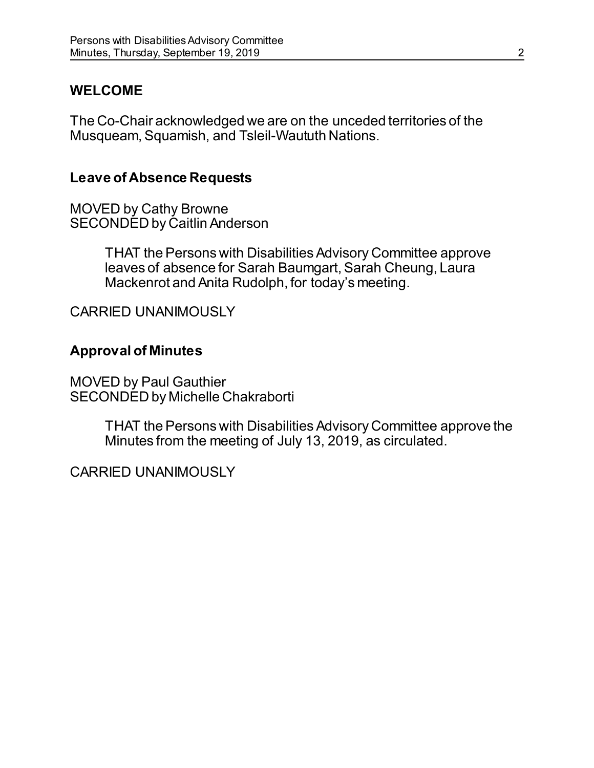## **WELCOME**

The Co-Chair acknowledged we are on the unceded territories of the Musqueam, Squamish, and Tsleil-Waututh Nations.

#### **Leave of Absence Requests**

MOVED by Cathy Browne SECONDED by Caitlin Anderson

> THAT the Persons with Disabilities Advisory Committee approve leaves of absence for Sarah Baumgart, Sarah Cheung, Laura Mackenrot and Anita Rudolph, for today's meeting.

CARRIED UNANIMOUSLY

## **Approval of Minutes**

MOVED by Paul Gauthier SECONDED by Michelle Chakraborti

> THAT the Persons with Disabilities Advisory Committee approve the Minutes from the meeting of July 13, 2019, as circulated.

CARRIED UNANIMOUSLY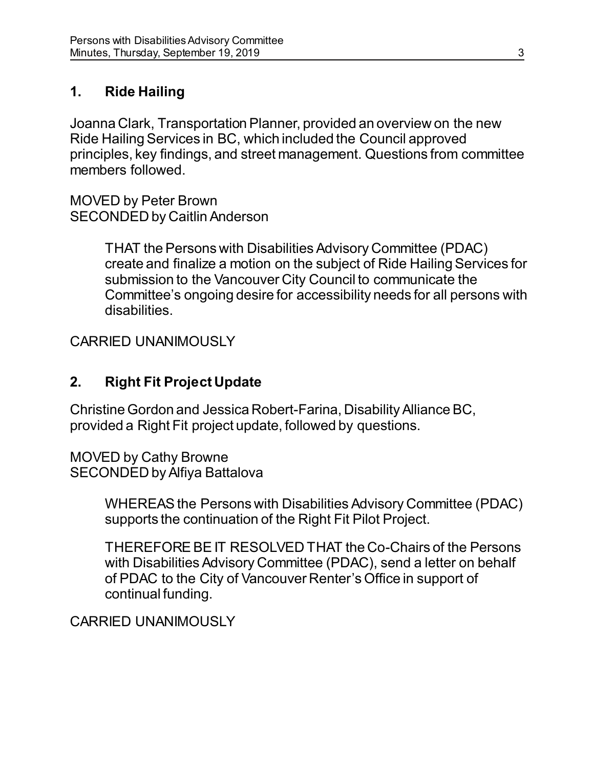## **1. Ride Hailing**

Joanna Clark, Transportation Planner, provided an overview on the new Ride Hailing Services in BC, which included the Council approved principles, key findings, and street management. Questions from committee members followed.

MOVED by Peter Brown SECONDED by Caitlin Anderson

> THAT the Persons with Disabilities Advisory Committee (PDAC) create and finalize a motion on the subject of Ride Hailing Services for submission to the Vancouver City Council to communicate the Committee's ongoing desire for accessibility needs for all persons with disabilities.

CARRIED UNANIMOUSLY

## **2. Right Fit Project Update**

Christine Gordon and Jessica Robert-Farina, Disability Alliance BC, provided a Right Fit project update, followed by questions.

MOVED by Cathy Browne SECONDED by Alfiya Battalova

> WHEREAS the Persons with Disabilities Advisory Committee (PDAC) supports the continuation of the Right Fit Pilot Project.

> THEREFORE BE IT RESOLVED THAT the Co-Chairs of the Persons with Disabilities Advisory Committee (PDAC), send a letter on behalf of PDAC to the City of Vancouver Renter's Office in support of continual funding.

CARRIED UNANIMOUSLY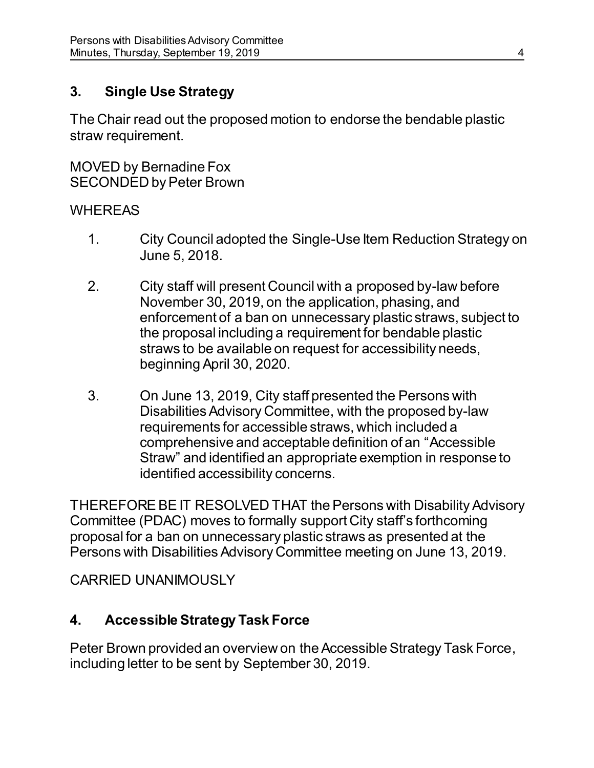## **3. Single Use Strategy**

The Chair read out the proposed motion to endorse the bendable plastic straw requirement.

MOVED by Bernadine Fox SECONDED by Peter Brown

#### **WHEREAS**

- 1. City Council adopted the Single-Use Item Reduction Strategy on June 5, 2018.
- 2. City staff will present Council with a proposed by-law before November 30, 2019, on the application, phasing, and enforcement of a ban on unnecessary plastic straws, subject to the proposal including a requirement for bendable plastic straws to be available on request for accessibility needs, beginning April 30, 2020.
- 3. On June 13, 2019, City staff presented the Persons with Disabilities Advisory Committee, with the proposed by-law requirements for accessible straws, which included a comprehensive and acceptable definition of an "Accessible Straw" and identified an appropriate exemption in response to identified accessibility concerns.

THEREFORE BE IT RESOLVED THAT the Persons with Disability Advisory Committee (PDAC) moves to formally support City staff's forthcoming proposal for a ban on unnecessary plastic straws as presented at the Persons with Disabilities Advisory Committee meeting on June 13, 2019.

CARRIED UNANIMOUSLY

# **4. Accessible Strategy Task Force**

Peter Brown provided an overview on the Accessible Strategy Task Force, including letter to be sent by September 30, 2019.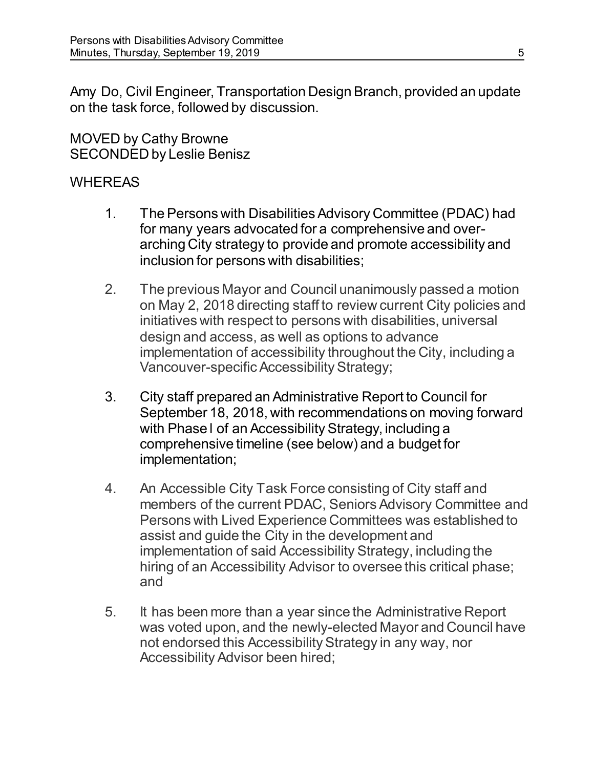Amy Do, Civil Engineer, Transportation Design Branch, provided an update on the task force, followed by discussion.

MOVED by Cathy Browne SECONDED by Leslie Benisz

#### **WHEREAS**

- 1. The Persons with Disabilities Advisory Committee (PDAC) had for many years advocated for a comprehensive and overarching City strategy to provide and promote accessibility and inclusion for persons with disabilities;
- 2. The previous Mayor and Council unanimously passed a motion on May 2, 2018 directing staff to review current City policies and initiatives with respect to persons with disabilities, universal design and access, as well as options to advance implementation of accessibility throughout the City, including a Vancouver-specific Accessibility Strategy;
- 3. City staff prepared an Administrative Report to Council for September 18, 2018, with recommendations on moving forward with Phase l of an Accessibility Strategy, including a comprehensive timeline (see below) and a budget for implementation;
- 4. An Accessible City Task Force consisting of City staff and members of the current PDAC, Seniors Advisory Committee and Persons with Lived Experience Committees was established to assist and guide the City in the development and implementation of said Accessibility Strategy, including the hiring of an Accessibility Advisor to oversee this critical phase; and
- 5. It has been more than a year since the Administrative Report was voted upon, and the newly-elected Mayor and Council have not endorsed this Accessibility Strategy in any way, nor Accessibility Advisor been hired;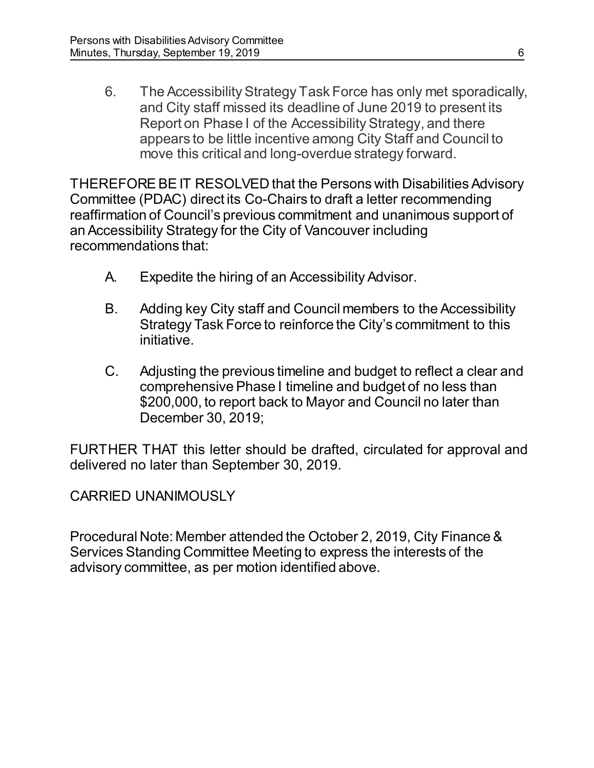6. The Accessibility Strategy Task Force has only met sporadically, and City staff missed its deadline of June 2019 to present its Report on Phase I of the Accessibility Strategy, and there appears to be little incentive among City Staff and Council to move this critical and long-overdue strategy forward.

THEREFORE BE IT RESOLVED that the Persons with Disabilities Advisory Committee (PDAC) direct its Co-Chairs to draft a letter recommending reaffirmation of Council's previous commitment and unanimous support of an Accessibility Strategy for the City of Vancouver including recommendations that:

- A. Expedite the hiring of an Accessibility Advisor.
- B. Adding key City staff and Council members to the Accessibility Strategy Task Force to reinforce the City's commitment to this initiative.
- C. Adjusting the previous timeline and budget to reflect a clear and comprehensive Phase I timeline and budget of no less than \$200,000, to report back to Mayor and Council no later than December 30, 2019;

FURTHER THAT this letter should be drafted, circulated for approval and delivered no later than September 30, 2019.

CARRIED UNANIMOUSLY

Procedural Note: Member attended the October 2, 2019, City Finance & Services Standing Committee Meeting to express the interests of the advisory committee, as per motion identified above.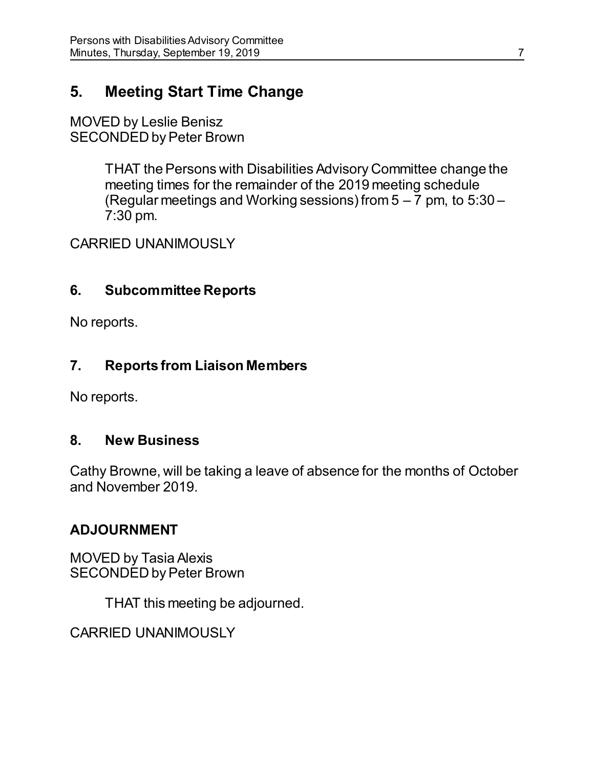# **5. Meeting Start Time Change**

MOVED by Leslie Benisz SECONDED by Peter Brown

> THAT the Persons with Disabilities Advisory Committee change the meeting times for the remainder of the 2019 meeting schedule (Regular meetings and Working sessions) from  $5 - 7$  pm, to  $5:30 - 7$ 7:30 pm.

CARRIED UNANIMOUSLY

#### **6. Subcommittee Reports**

No reports.

## **7. Reports from Liaison Members**

No reports.

#### **8. New Business**

Cathy Browne, will be taking a leave of absence for the months of October and November 2019.

## **ADJOURNMENT**

MOVED by Tasia Alexis SECONDED by Peter Brown

THAT this meeting be adjourned.

CARRIED UNANIMOUSLY